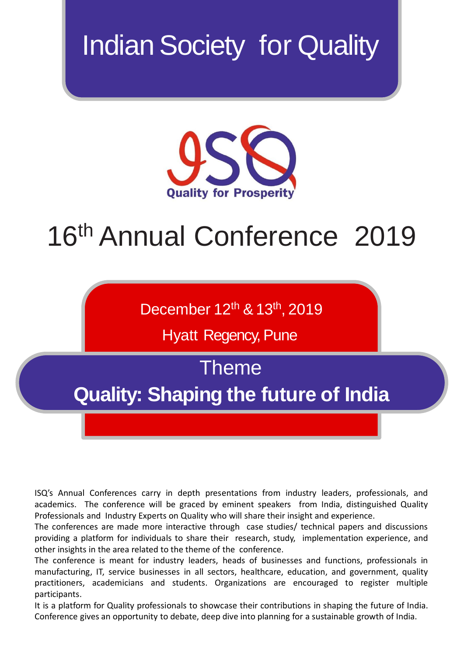# **Indian Society for Quality**



# 16<sup>th</sup> Annual Conference 2019

December 12<sup>th</sup> & 13<sup>th</sup>, 2019

Hyatt Regency, Pune

Theme

**Quality: Shaping the future of India**

ISQ's Annual Conferences carry in depth presentations from industry leaders, professionals, and academics. The conference will be graced by eminent speakers from India, distinguished Quality Professionals and Industry Experts on Quality who will share their insight and experience.

The conferences are made more interactive through case studies/ technical papers and discussions providing a platform for individuals to share their research, study, implementation experience, and other insights in the area related to the theme of the conference.

The conference is meant for industry leaders, heads of businesses and functions, professionals in manufacturing, IT, service businesses in all sectors, healthcare, education, and government, quality practitioners, academicians and students. Organizations are encouraged to register multiple participants.

It is a platform for Quality professionals to showcase their contributions in shaping the future of India. Conference gives an opportunity to debate, deep dive into planning for a sustainable growth of India.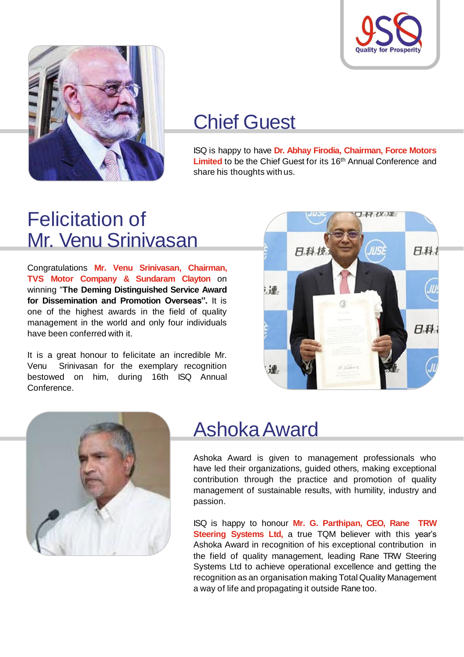



# Chief Guest

ISQ is happy to have **Dr. Abhay Firodia, Chairman, Force Motors** Limited to be the Chief Guest for its 16<sup>th</sup> Annual Conference and share his thoughts with us.

# Felicitation of Mr. Venu Srinivasan

Congratulations **Mr. Venu Srinivasan, Chairman, TVS Motor Company & Sundaram Clayton** on winning "**The Deming Distinguished Service Award for Dissemination and Promotion Overseas".** It is one of the highest awards in the field of quality management in the world and only four individuals have been conferred with it.

It is a great honour to felicitate an incredible Mr. Venu Srinivasan for the exemplary recognition bestowed on him, during 16th ISQ Annual Conference.





# AshokaAward

Ashoka Award is given to management professionals who have led their organizations, guided others, making exceptional contribution through the practice and promotion of quality management of sustainable results, with humility, industry and passion.

ISQ is happy to honour **Mr. G. Parthipan, CEO, Rane TRW Steering Systems Ltd,** a true TQM believer with this year's Ashoka Award in recognition of his exceptional contribution in the field of quality management, leading Rane TRW Steering Systems Ltd to achieve operational excellence and getting the recognition as an organisation making Total Quality Management a way of life and propagating it outside Rane too.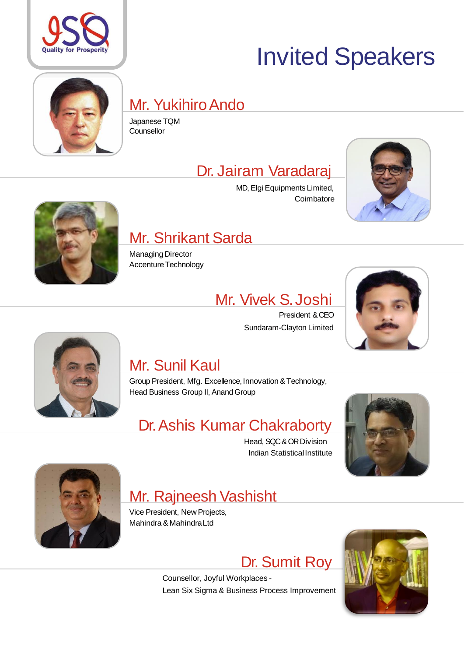

# Invited Speakers

# Japanese TQM

# Mr. Yukihiro Ando

**Counsellor** 

# Dr. Jairam Varadaraj

MD, Elgi Equipments Limited, **Coimbatore** 





# Mr. Shrikant Sarda

Managing Director Accenture Technology

## Mr. Vivek S.Joshi

President &CEO Sundaram-Clayton Limited





# Mr. Sunil Kaul

Group President, Mfg. Excellence, Innovation & Technology, Head Business Group II, Anand Group

# Dr. Ashis Kumar Chakraborty

Head, SQC & OR Division Indian Statistical Institute





## Mr. Rajneesh Vashisht

Vice President, New Projects, Mahindra & MahindraLtd

Dr. Sumit Roy



Counsellor, Joyful Workplaces - Lean Six Sigma & Business Process Improvement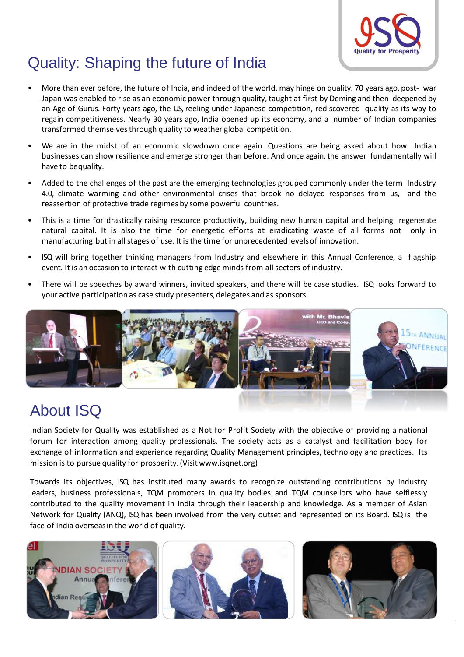

### Quality: Shaping the future of India

- More than ever before, the future of India, and indeed of the world, may hinge on quality. 70 years ago, post- war Japan was enabled to rise as an economic power through quality, taught at first by Deming and then deepened by an Age of Gurus. Forty years ago, the US, reeling under Japanese competition, rediscovered quality as its way to regain competitiveness. Nearly 30 years ago, India opened up its economy, and a number of Indian companies transformed themselves through quality to weather global competition.
- We are in the midst of an economic slowdown once again. Questions are being asked about how Indian businesses can show resilience and emerge stronger than before. And once again, the answer fundamentally will have to bequality.
- Added to the challenges of the past are the emerging technologies grouped commonly under the term Industry 4.0, climate warming and other environmental crises that brook no delayed responses from us, and the reassertion of protective trade regimes by some powerful countries.
- This is a time for drastically raising resource productivity, building new human capital and helping regenerate natural capital. It is also the time for energetic efforts at eradicating waste of all forms not only in manufacturing but in all stages of use. It isthe time for unprecedentedlevelsof innovation.
- ISQ will bring together thinking managers from Industry and elsewhere in this Annual Conference, a flagship event. It is an occasion to interact with cutting edge minds from all sectors of industry.
- There will be speeches by award winners, invited speakers, and there will be case studies. ISQ looks forward to your active participation as case study presenters, delegates and as sponsors.



### About ISQ

Indian Society for Quality was established as a Not for Profit Society with the objective of providing a national forum for interaction among quality professionals. The society acts as a catalyst and facilitation body for exchange of information and experience regarding Quality Management principles, technology and practices. Its mission is to pursue quality for prosperity.(Visit www.isqnet.org)

Towards its objectives, ISQ has instituted many awards to recognize outstanding contributions by industry leaders, business professionals, TQM promoters in quality bodies and TQM counsellors who have selflessly contributed to the quality movement in India through their leadership and knowledge. As a member of Asian Network for Quality (ANQ), ISQ has been involved from the very outset and represented on its Board. ISQ is the face of India overseasin the world of quality.

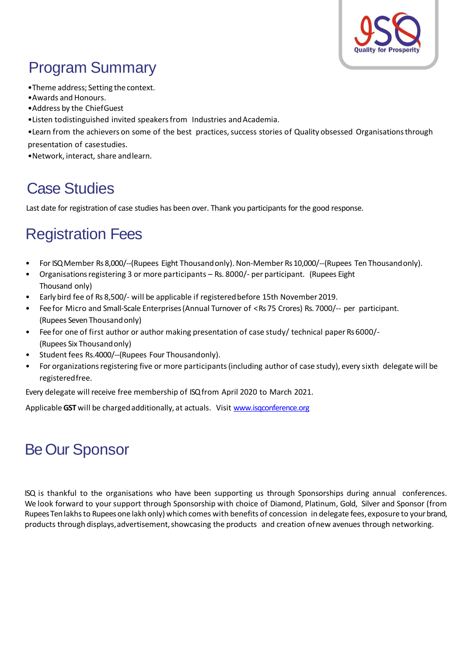

## Program Summary

- •Theme address; Setting the context.
- Awards and Honours.
- •Address by the ChiefGuest
- •Listen todistinguished invited speakers from Industries and Academia.
- •Learn from the achievers on some of the best practices, success stories of Quality obsessed Organisations through presentation of casestudies.
- •Network, interact, share andlearn.

#### Case Studies

Last date for registration of case studies has been over. Thank you participants for the good response.

#### Registration Fees

- For ISQ Member Rs 8,000/--(Rupees Eight Thousandonly). Non-Member Rs 10,000/--(Rupees Ten Thousandonly).
- Organisationsregistering 3 or more participants Rs. 8000/- per participant. (Rupees Eight Thousand only)
- Early bird fee of Rs 8,500/- will be applicable if registeredbefore 15th November 2019.
- Fee for Micro and Small-Scale Enterprises (Annual Turnover of < Rs 75 Crores) Rs. 7000/-- per participant. (Rupees Seven Thousandonly)
- Fee for one of first author or author making presentation of case study/ technical paper Rs 6000/- (Rupees Six Thousandonly)
- Student fees Rs.4000/--(Rupees Four Thousandonly).
- For organizations registering five or more participants (including author of case study), every sixth delegate will be registeredfree.

Every delegate will receive free membership of ISQ from April 2020 to March 2021.

Applicable GST will be charged additionally, at actuals. Visit [www.isqconference.org](http://www.isqconference.org/)

### Be Our Sponsor

ISQ is thankful to the organisations who have been supporting us through Sponsorships during annual conferences. We look forward to your support through Sponsorship with choice of Diamond, Platinum, Gold, Silver and Sponsor (from Rupees Ten lakhs to Rupees one lakh only) which comes with benefits of concession in delegate fees, exposure to your brand, products through displays, advertisement, showcasing the products and creation ofnew avenues through networking.